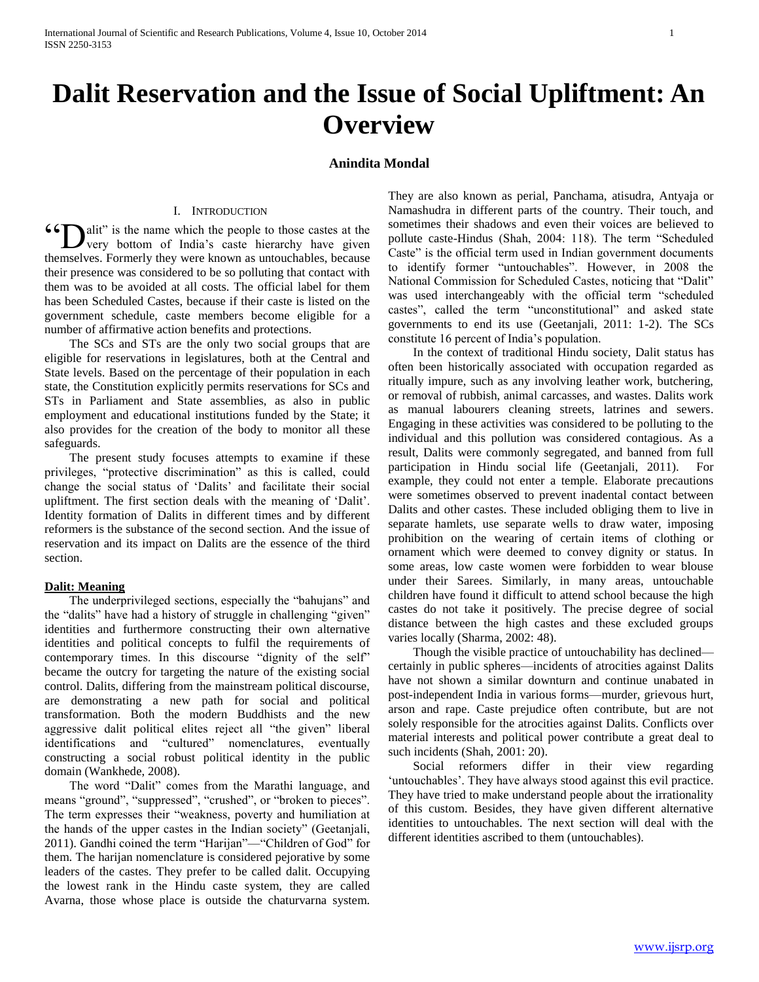# **Dalit Reservation and the Issue of Social Upliftment: An Overview**

## **Anindita Mondal**

## I. INTRODUCTION

**46 [Dalit**" is the name which the people to those castes at the very bottom of India's caste hierarchy have given very bottom of India's caste hierarchy have given themselves. Formerly they were known as untouchables, because their presence was considered to be so polluting that contact with them was to be avoided at all costs. The official label for them has been Scheduled Castes, because if their caste is listed on the government schedule, caste members become eligible for a number of affirmative action benefits and protections.

 The SCs and STs are the only two social groups that are eligible for reservations in legislatures, both at the Central and State levels. Based on the percentage of their population in each state, the Constitution explicitly permits reservations for SCs and STs in Parliament and State assemblies, as also in public employment and educational institutions funded by the State; it also provides for the creation of the body to monitor all these safeguards.

 The present study focuses attempts to examine if these privileges, "protective discrimination" as this is called, could change the social status of 'Dalits' and facilitate their social upliftment. The first section deals with the meaning of ‗Dalit'. Identity formation of Dalits in different times and by different reformers is the substance of the second section. And the issue of reservation and its impact on Dalits are the essence of the third section.

#### **Dalit: Meaning**

The underprivileged sections, especially the "bahujans" and the "dalits" have had a history of struggle in challenging "given" identities and furthermore constructing their own alternative identities and political concepts to fulfil the requirements of contemporary times. In this discourse "dignity of the self" became the outcry for targeting the nature of the existing social control. Dalits, differing from the mainstream political discourse, are demonstrating a new path for social and political transformation. Both the modern Buddhists and the new aggressive dalit political elites reject all "the given" liberal identifications and "cultured" nomenclatures, eventually constructing a social robust political identity in the public domain (Wankhede, 2008).

The word "Dalit" comes from the Marathi language, and means "ground", "suppressed", "crushed", or "broken to pieces". The term expresses their "weakness, poverty and humiliation at the hands of the upper castes in the Indian society" (Geetanjali, 2011). Gandhi coined the term "Harijan"—"Children of God" for them. The harijan nomenclature is considered pejorative by some leaders of the castes. They prefer to be called dalit. Occupying the lowest rank in the Hindu caste system, they are called Avarna, those whose place is outside the chaturvarna system.

They are also known as perial, Panchama, atisudra, Antyaja or Namashudra in different parts of the country. Their touch, and sometimes their shadows and even their voices are believed to pollute caste-Hindus (Shah, 2004: 118). The term "Scheduled Caste" is the official term used in Indian government documents to identify former "untouchables". However, in 2008 the National Commission for Scheduled Castes, noticing that "Dalit" was used interchangeably with the official term "scheduled castes", called the term "unconstitutional" and asked state governments to end its use (Geetanjali, 2011: 1-2). The SCs constitute 16 percent of India's population.

 In the context of traditional Hindu society, Dalit status has often been historically associated with occupation regarded as ritually impure, such as any involving leather work, butchering, or removal of rubbish, animal carcasses, and wastes. Dalits work as manual labourers cleaning streets, latrines and sewers. Engaging in these activities was considered to be polluting to the individual and this pollution was considered contagious. As a result, Dalits were commonly segregated, and banned from full participation in Hindu social life (Geetanjali, 2011). For example, they could not enter a temple. Elaborate precautions were sometimes observed to prevent inadental contact between Dalits and other castes. These included obliging them to live in separate hamlets, use separate wells to draw water, imposing prohibition on the wearing of certain items of clothing or ornament which were deemed to convey dignity or status. In some areas, low caste women were forbidden to wear blouse under their Sarees. Similarly, in many areas, untouchable children have found it difficult to attend school because the high castes do not take it positively. The precise degree of social distance between the high castes and these excluded groups varies locally (Sharma, 2002: 48).

 Though the visible practice of untouchability has declined certainly in public spheres—incidents of atrocities against Dalits have not shown a similar downturn and continue unabated in post-independent India in various forms—murder, grievous hurt, arson and rape. Caste prejudice often contribute, but are not solely responsible for the atrocities against Dalits. Conflicts over material interests and political power contribute a great deal to such incidents (Shah, 2001: 20).

 Social reformers differ in their view regarding ‗untouchables'. They have always stood against this evil practice. They have tried to make understand people about the irrationality of this custom. Besides, they have given different alternative identities to untouchables. The next section will deal with the different identities ascribed to them (untouchables).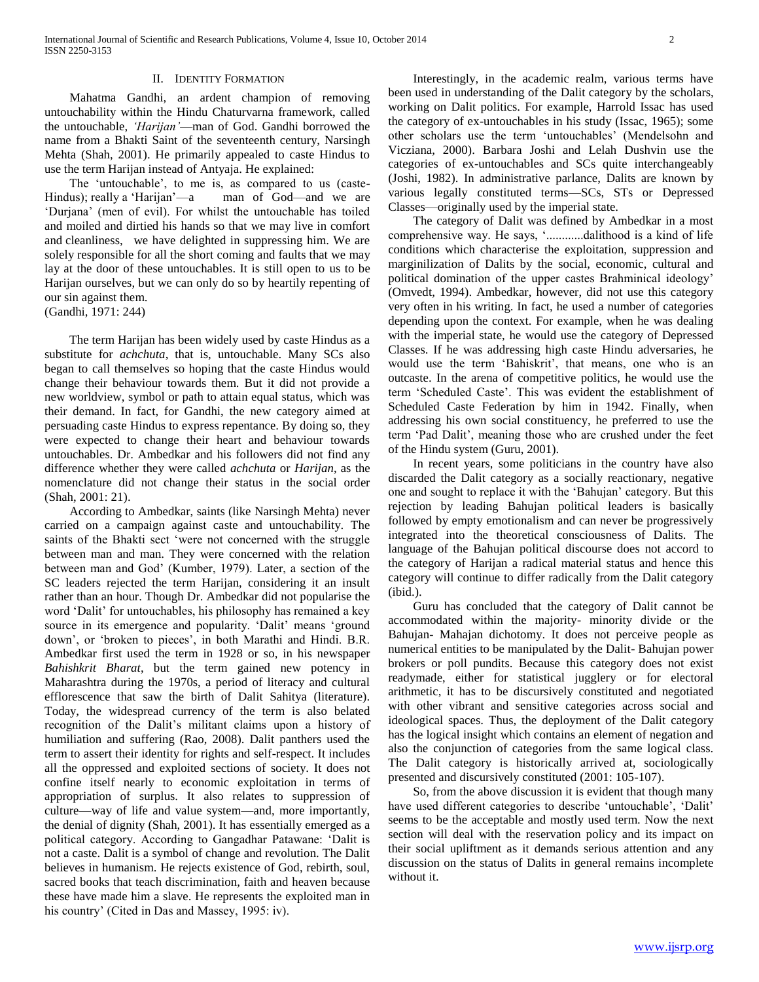#### II. IDENTITY FORMATION

 Mahatma Gandhi, an ardent champion of removing untouchability within the Hindu Chaturvarna framework, called the untouchable, *'Harijan'*—man of God. Gandhi borrowed the name from a Bhakti Saint of the seventeenth century, Narsingh Mehta (Shah, 2001). He primarily appealed to caste Hindus to use the term Harijan instead of Antyaja. He explained:

The 'untouchable', to me is, as compared to us (caste-Hindus); really a 'Harijan'—a man of God—and we are ‗Durjana' (men of evil). For whilst the untouchable has toiled and moiled and dirtied his hands so that we may live in comfort and cleanliness, we have delighted in suppressing him. We are solely responsible for all the short coming and faults that we may lay at the door of these untouchables. It is still open to us to be Harijan ourselves, but we can only do so by heartily repenting of our sin against them.

(Gandhi, 1971: 244)

 The term Harijan has been widely used by caste Hindus as a substitute for *achchuta*, that is, untouchable. Many SCs also began to call themselves so hoping that the caste Hindus would change their behaviour towards them. But it did not provide a new worldview, symbol or path to attain equal status, which was their demand. In fact, for Gandhi, the new category aimed at persuading caste Hindus to express repentance. By doing so, they were expected to change their heart and behaviour towards untouchables. Dr. Ambedkar and his followers did not find any difference whether they were called *achchuta* or *Harijan*, as the nomenclature did not change their status in the social order (Shah, 2001: 21).

 According to Ambedkar, saints (like Narsingh Mehta) never carried on a campaign against caste and untouchability. The saints of the Bhakti sect 'were not concerned with the struggle between man and man. They were concerned with the relation between man and God' (Kumber, 1979). Later, a section of the SC leaders rejected the term Harijan, considering it an insult rather than an hour. Though Dr. Ambedkar did not popularise the word 'Dalit' for untouchables, his philosophy has remained a key source in its emergence and popularity. 'Dalit' means 'ground down', or 'broken to pieces', in both Marathi and Hindi. B.R. Ambedkar first used the term in 1928 or so, in his newspaper *Bahishkrit Bharat*, but the term gained new potency in Maharashtra during the 1970s, a period of literacy and cultural efflorescence that saw the birth of Dalit Sahitya (literature). Today, the widespread currency of the term is also belated recognition of the Dalit's militant claims upon a history of humiliation and suffering (Rao, 2008). Dalit panthers used the term to assert their identity for rights and self-respect. It includes all the oppressed and exploited sections of society. It does not confine itself nearly to economic exploitation in terms of appropriation of surplus. It also relates to suppression of culture—way of life and value system—and, more importantly, the denial of dignity (Shah, 2001). It has essentially emerged as a political category. According to Gangadhar Patawane: 'Dalit is not a caste. Dalit is a symbol of change and revolution. The Dalit believes in humanism. He rejects existence of God, rebirth, soul, sacred books that teach discrimination, faith and heaven because these have made him a slave. He represents the exploited man in his country' (Cited in Das and Massey, 1995: iv).

 Interestingly, in the academic realm, various terms have been used in understanding of the Dalit category by the scholars, working on Dalit politics. For example, Harrold Issac has used the category of ex-untouchables in his study (Issac, 1965); some other scholars use the term 'untouchables' (Mendelsohn and Vicziana, 2000). Barbara Joshi and Lelah Dushvin use the categories of ex-untouchables and SCs quite interchangeably (Joshi, 1982). In administrative parlance, Dalits are known by various legally constituted terms—SCs, STs or Depressed Classes—originally used by the imperial state.

 The category of Dalit was defined by Ambedkar in a most comprehensive way. He says, '...........dalithood is a kind of life conditions which characterise the exploitation, suppression and marginilization of Dalits by the social, economic, cultural and political domination of the upper castes Brahminical ideology' (Omvedt, 1994). Ambedkar, however, did not use this category very often in his writing. In fact, he used a number of categories depending upon the context. For example, when he was dealing with the imperial state, he would use the category of Depressed Classes. If he was addressing high caste Hindu adversaries, he would use the term 'Bahiskrit', that means, one who is an outcaste. In the arena of competitive politics, he would use the term 'Scheduled Caste'. This was evident the establishment of Scheduled Caste Federation by him in 1942. Finally, when addressing his own social constituency, he preferred to use the term ‗Pad Dalit', meaning those who are crushed under the feet of the Hindu system (Guru, 2001).

 In recent years, some politicians in the country have also discarded the Dalit category as a socially reactionary, negative one and sought to replace it with the 'Bahujan' category. But this rejection by leading Bahujan political leaders is basically followed by empty emotionalism and can never be progressively integrated into the theoretical consciousness of Dalits. The language of the Bahujan political discourse does not accord to the category of Harijan a radical material status and hence this category will continue to differ radically from the Dalit category (ibid.).

 Guru has concluded that the category of Dalit cannot be accommodated within the majority- minority divide or the Bahujan- Mahajan dichotomy. It does not perceive people as numerical entities to be manipulated by the Dalit- Bahujan power brokers or poll pundits. Because this category does not exist readymade, either for statistical jugglery or for electoral arithmetic, it has to be discursively constituted and negotiated with other vibrant and sensitive categories across social and ideological spaces. Thus, the deployment of the Dalit category has the logical insight which contains an element of negation and also the conjunction of categories from the same logical class. The Dalit category is historically arrived at, sociologically presented and discursively constituted (2001: 105-107).

 So, from the above discussion it is evident that though many have used different categories to describe 'untouchable', 'Dalit' seems to be the acceptable and mostly used term. Now the next section will deal with the reservation policy and its impact on their social upliftment as it demands serious attention and any discussion on the status of Dalits in general remains incomplete without it.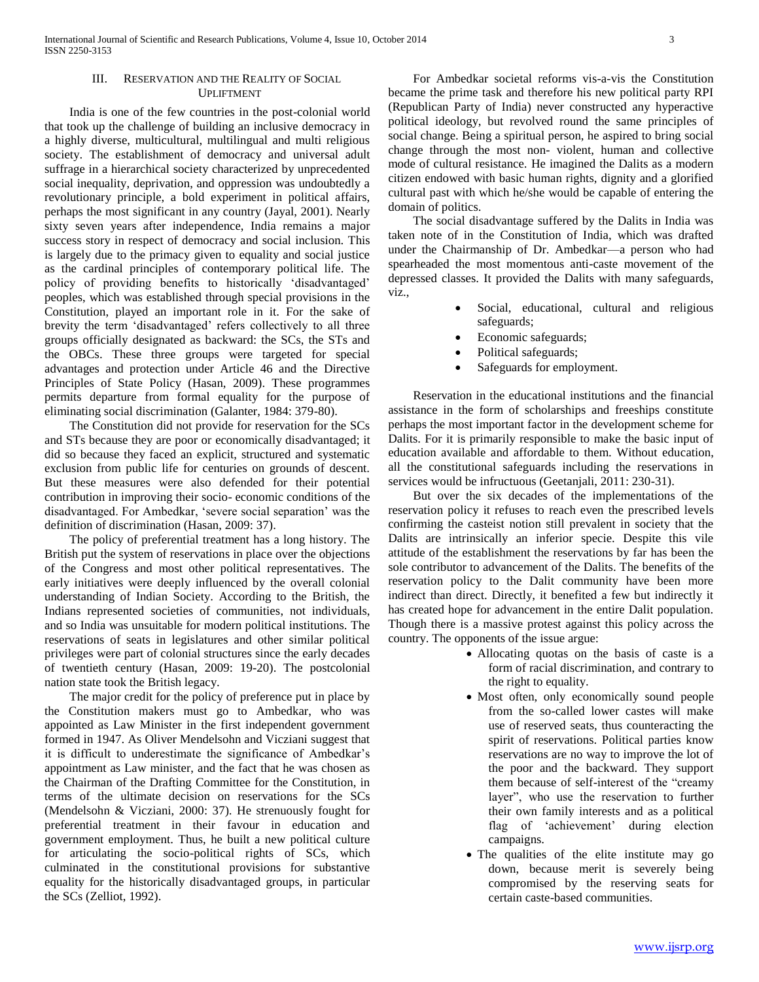## III. RESERVATION AND THE REALITY OF SOCIAL UPLIFTMENT

 India is one of the few countries in the post-colonial world that took up the challenge of building an inclusive democracy in a highly diverse, multicultural, multilingual and multi religious society. The establishment of democracy and universal adult suffrage in a hierarchical society characterized by unprecedented social inequality, deprivation, and oppression was undoubtedly a revolutionary principle, a bold experiment in political affairs, perhaps the most significant in any country (Jayal, 2001). Nearly sixty seven years after independence, India remains a major success story in respect of democracy and social inclusion. This is largely due to the primacy given to equality and social justice as the cardinal principles of contemporary political life. The policy of providing benefits to historically 'disadvantaged' peoples, which was established through special provisions in the Constitution, played an important role in it. For the sake of brevity the term 'disadvantaged' refers collectively to all three groups officially designated as backward: the SCs, the STs and the OBCs. These three groups were targeted for special advantages and protection under Article 46 and the Directive Principles of State Policy (Hasan, 2009). These programmes permits departure from formal equality for the purpose of eliminating social discrimination (Galanter, 1984: 379-80).

 The Constitution did not provide for reservation for the SCs and STs because they are poor or economically disadvantaged; it did so because they faced an explicit, structured and systematic exclusion from public life for centuries on grounds of descent. But these measures were also defended for their potential contribution in improving their socio- economic conditions of the disadvantaged. For Ambedkar, 'severe social separation' was the definition of discrimination (Hasan, 2009: 37).

 The policy of preferential treatment has a long history. The British put the system of reservations in place over the objections of the Congress and most other political representatives. The early initiatives were deeply influenced by the overall colonial understanding of Indian Society. According to the British, the Indians represented societies of communities, not individuals, and so India was unsuitable for modern political institutions. The reservations of seats in legislatures and other similar political privileges were part of colonial structures since the early decades of twentieth century (Hasan, 2009: 19-20). The postcolonial nation state took the British legacy.

 The major credit for the policy of preference put in place by the Constitution makers must go to Ambedkar, who was appointed as Law Minister in the first independent government formed in 1947. As Oliver Mendelsohn and Vicziani suggest that it is difficult to underestimate the significance of Ambedkar's appointment as Law minister, and the fact that he was chosen as the Chairman of the Drafting Committee for the Constitution, in terms of the ultimate decision on reservations for the SCs (Mendelsohn & Vicziani, 2000: 37). He strenuously fought for preferential treatment in their favour in education and government employment. Thus, he built a new political culture for articulating the socio-political rights of SCs, which culminated in the constitutional provisions for substantive equality for the historically disadvantaged groups, in particular the SCs (Zelliot, 1992).

 For Ambedkar societal reforms vis-a-vis the Constitution became the prime task and therefore his new political party RPI (Republican Party of India) never constructed any hyperactive political ideology, but revolved round the same principles of social change. Being a spiritual person, he aspired to bring social change through the most non- violent, human and collective mode of cultural resistance. He imagined the Dalits as a modern citizen endowed with basic human rights, dignity and a glorified cultural past with which he/she would be capable of entering the domain of politics.

 The social disadvantage suffered by the Dalits in India was taken note of in the Constitution of India, which was drafted under the Chairmanship of Dr. Ambedkar—a person who had spearheaded the most momentous anti-caste movement of the depressed classes. It provided the Dalits with many safeguards, viz.,

- Social, educational, cultural and religious safeguards;
- Economic safeguards;
- Political safeguards;
- Safeguards for employment.

 Reservation in the educational institutions and the financial assistance in the form of scholarships and freeships constitute perhaps the most important factor in the development scheme for Dalits. For it is primarily responsible to make the basic input of education available and affordable to them. Without education, all the constitutional safeguards including the reservations in services would be infructuous (Geetanjali, 2011: 230-31).

 But over the six decades of the implementations of the reservation policy it refuses to reach even the prescribed levels confirming the casteist notion still prevalent in society that the Dalits are intrinsically an inferior specie. Despite this vile attitude of the establishment the reservations by far has been the sole contributor to advancement of the Dalits. The benefits of the reservation policy to the Dalit community have been more indirect than direct. Directly, it benefited a few but indirectly it has created hope for advancement in the entire Dalit population. Though there is a massive protest against this policy across the country. The opponents of the issue argue:

- Allocating quotas on the basis of caste is a form of racial discrimination, and contrary to the right to equality.
- Most often, only economically sound people from the so-called lower castes will make use of reserved seats, thus counteracting the spirit of reservations. Political parties know reservations are no way to improve the lot of the poor and the backward. They support them because of self-interest of the "creamy" layer", who use the reservation to further their own family interests and as a political flag of 'achievement' during election campaigns.
- The qualities of the elite institute may go down, because merit is severely being compromised by the reserving seats for certain caste-based communities.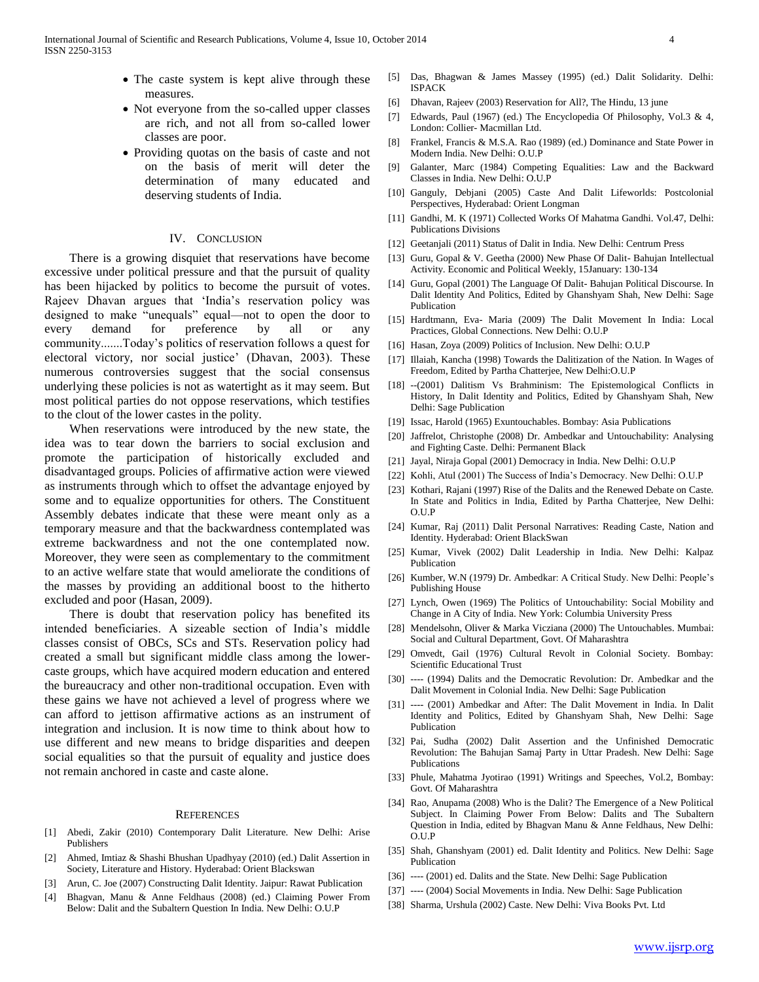- The caste system is kept alive through these measures.
- Not everyone from the so-called upper classes are rich, and not all from so-called lower classes are poor.
- Providing quotas on the basis of caste and not on the basis of merit will deter the determination of many educated and deserving students of India.

### IV. CONCLUSION

 There is a growing disquiet that reservations have become excessive under political pressure and that the pursuit of quality has been hijacked by politics to become the pursuit of votes. Rajeev Dhavan argues that 'India's reservation policy was designed to make "unequals" equal—not to open the door to every demand for preference by all or any community.......Today's politics of reservation follows a quest for electoral victory, nor social justice' (Dhavan, 2003). These numerous controversies suggest that the social consensus underlying these policies is not as watertight as it may seem. But most political parties do not oppose reservations, which testifies to the clout of the lower castes in the polity.

 When reservations were introduced by the new state, the idea was to tear down the barriers to social exclusion and promote the participation of historically excluded and disadvantaged groups. Policies of affirmative action were viewed as instruments through which to offset the advantage enjoyed by some and to equalize opportunities for others. The Constituent Assembly debates indicate that these were meant only as a temporary measure and that the backwardness contemplated was extreme backwardness and not the one contemplated now. Moreover, they were seen as complementary to the commitment to an active welfare state that would ameliorate the conditions of the masses by providing an additional boost to the hitherto excluded and poor (Hasan, 2009).

 There is doubt that reservation policy has benefited its intended beneficiaries. A sizeable section of India's middle classes consist of OBCs, SCs and STs. Reservation policy had created a small but significant middle class among the lowercaste groups, which have acquired modern education and entered the bureaucracy and other non-traditional occupation. Even with these gains we have not achieved a level of progress where we can afford to jettison affirmative actions as an instrument of integration and inclusion. It is now time to think about how to use different and new means to bridge disparities and deepen social equalities so that the pursuit of equality and justice does not remain anchored in caste and caste alone.

#### **REFERENCES**

- [1] Abedi, Zakir (2010) Contemporary Dalit Literature. New Delhi: Arise Publishers
- [2] Ahmed, Imtiaz & Shashi Bhushan Upadhyay (2010) (ed.) Dalit Assertion in Society, Literature and History. Hyderabad: Orient Blackswan
- [3] Arun, C. Joe (2007) Constructing Dalit Identity. Jaipur: Rawat Publication
- [4] Bhagvan, Manu & Anne Feldhaus (2008) (ed.) Claiming Power From Below: Dalit and the Subaltern Question In India. New Delhi: O.U.P
- [5] Das, Bhagwan & James Massey (1995) (ed.) Dalit Solidarity. Delhi: ISPACK
- [6] Dhavan, Rajeev (2003) Reservation for All?, The Hindu, 13 june
- [7] Edwards, Paul (1967) (ed.) The Encyclopedia Of Philosophy, Vol.3 & 4, London: Collier- Macmillan Ltd.
- [8] Frankel, Francis & M.S.A. Rao (1989) (ed.) Dominance and State Power in Modern India. New Delhi: O.U.P
- [9] Galanter, Marc (1984) Competing Equalities: Law and the Backward Classes in India. New Delhi: O.U.P
- [10] Ganguly, Debjani (2005) Caste And Dalit Lifeworlds: Postcolonial Perspectives, Hyderabad: Orient Longman
- [11] Gandhi, M. K (1971) Collected Works Of Mahatma Gandhi. Vol.47, Delhi: Publications Divisions
- [12] Geetanjali (2011) Status of Dalit in India. New Delhi: Centrum Press
- [13] Guru, Gopal & V. Geetha (2000) New Phase Of Dalit- Bahujan Intellectual Activity. Economic and Political Weekly, 15January: 130-134
- [14] Guru, Gopal (2001) The Language Of Dalit- Bahujan Political Discourse. In Dalit Identity And Politics, Edited by Ghanshyam Shah, New Delhi: Sage Publication
- [15] Hardtmann, Eva- Maria (2009) The Dalit Movement In India: Local Practices, Global Connections. New Delhi: O.U.P
- [16] Hasan, Zoya (2009) Politics of Inclusion. New Delhi: O.U.P
- [17] Illaiah, Kancha (1998) Towards the Dalitization of the Nation. In Wages of Freedom, Edited by Partha Chatterjee, New Delhi:O.U.P
- [18] --(2001) Dalitism Vs Brahminism: The Epistemological Conflicts in History, In Dalit Identity and Politics, Edited by Ghanshyam Shah, New Delhi: Sage Publication
- [19] Issac, Harold (1965) Exuntouchables. Bombay: Asia Publications
- [20] Jaffrelot, Christophe (2008) Dr. Ambedkar and Untouchability: Analysing and Fighting Caste. Delhi: Permanent Black
- [21] Jayal, Niraja Gopal (2001) Democracy in India. New Delhi: O.U.P
- [22] Kohli, Atul (2001) The Success of India's Democracy. New Delhi: O.U.P
- [23] Kothari, Rajani (1997) Rise of the Dalits and the Renewed Debate on Caste. In State and Politics in India, Edited by Partha Chatterjee, New Delhi: O.U.P
- [24] Kumar, Raj (2011) Dalit Personal Narratives: Reading Caste, Nation and Identity. Hyderabad: Orient BlackSwan
- [25] Kumar, Vivek (2002) Dalit Leadership in India. New Delhi: Kalpaz Publication
- [26] Kumber, W.N (1979) Dr. Ambedkar: A Critical Study. New Delhi: People's Publishing House
- [27] Lynch, Owen (1969) The Politics of Untouchability: Social Mobility and Change in A City of India. New York: Columbia University Press
- [28] Mendelsohn, Oliver & Marka Vicziana (2000) The Untouchables. Mumbai: Social and Cultural Department, Govt. Of Maharashtra
- [29] Omvedt, Gail (1976) Cultural Revolt in Colonial Society. Bombay: Scientific Educational Trust
- [30] ---- (1994) Dalits and the Democratic Revolution: Dr. Ambedkar and the Dalit Movement in Colonial India. New Delhi: Sage Publication
- [31] ---- (2001) Ambedkar and After: The Dalit Movement in India. In Dalit Identity and Politics, Edited by Ghanshyam Shah, New Delhi: Sage Publication
- [32] Pai, Sudha (2002) Dalit Assertion and the Unfinished Democratic Revolution: The Bahujan Samaj Party in Uttar Pradesh. New Delhi: Sage Publications
- [33] Phule, Mahatma Jyotirao (1991) Writings and Speeches, Vol.2, Bombay: Govt. Of Maharashtra
- [34] Rao, Anupama (2008) Who is the Dalit? The Emergence of a New Political Subject. In Claiming Power From Below: Dalits and The Subaltern Question in India, edited by Bhagvan Manu & Anne Feldhaus, New Delhi: O.U.P
- [35] Shah, Ghanshyam (2001) ed. Dalit Identity and Politics. New Delhi: Sage Publication
- [36] ---- (2001) ed. Dalits and the State. New Delhi: Sage Publication
- [37] ---- (2004) Social Movements in India. New Delhi: Sage Publication
- [38] Sharma, Urshula (2002) Caste. New Delhi: Viva Books Pvt. Ltd